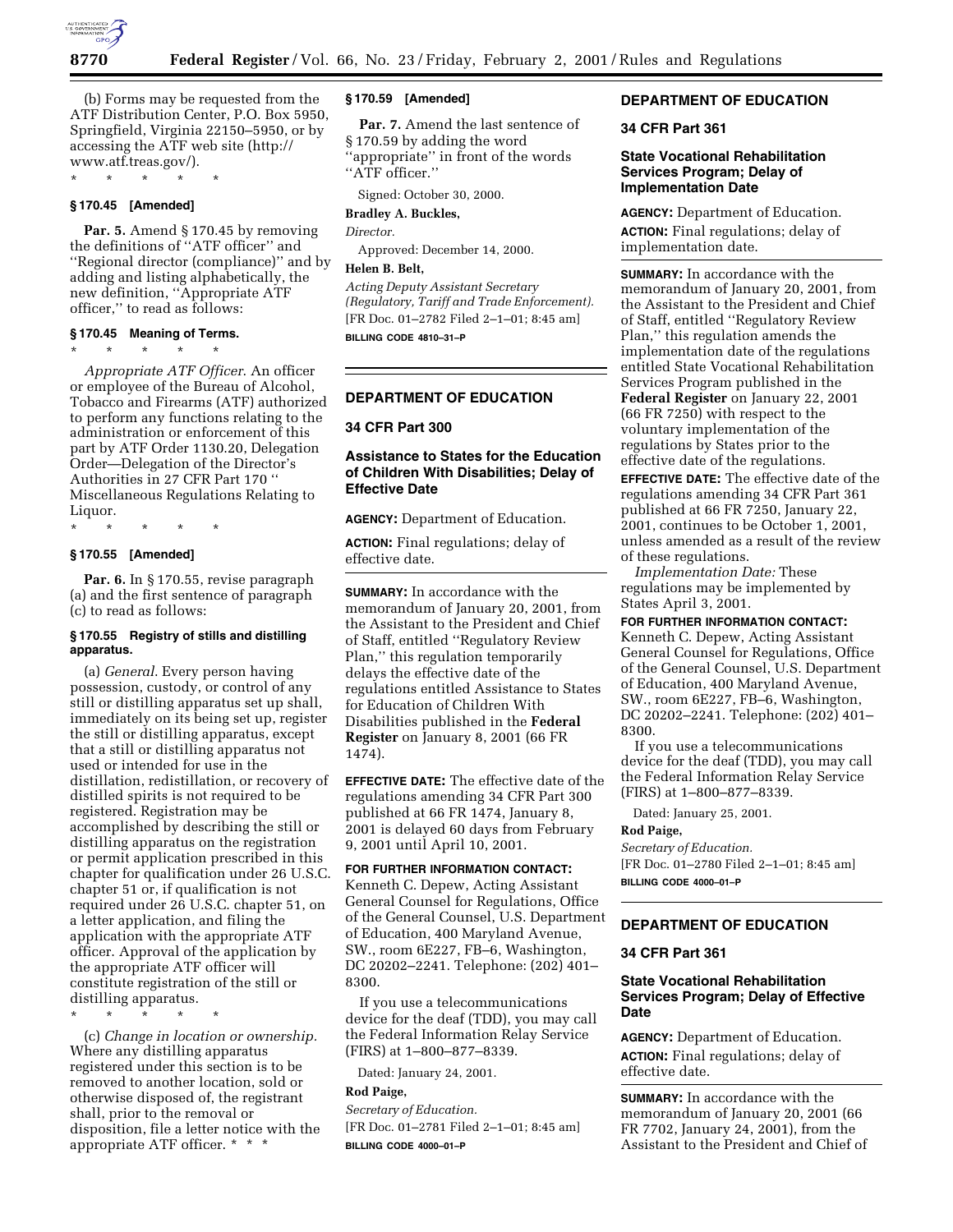

(b) Forms may be requested from the ATF Distribution Center, P.O. Box 5950, Springfield, Virginia 22150–5950, or by accessing the ATF web site (http:// www.atf.treas.gov/).

\* \* \* \* \*

# **§ 170.45 [Amended]**

**Par. 5.** Amend § 170.45 by removing the definitions of ''ATF officer'' and ''Regional director (compliance)'' and by adding and listing alphabetically, the new definition, ''Appropriate ATF officer,'' to read as follows:

## **§ 170.45 Meaning of Terms.**

\* \* \* \* \*

*Appropriate ATF Officer*. An officer or employee of the Bureau of Alcohol, Tobacco and Firearms (ATF) authorized to perform any functions relating to the administration or enforcement of this part by ATF Order 1130.20, Delegation Order—Delegation of the Director's Authorities in 27 CFR Part 170 '' Miscellaneous Regulations Relating to Liquor.

\* \* \* \* \*

### **§ 170.55 [Amended]**

**Par. 6.** In § 170.55, revise paragraph (a) and the first sentence of paragraph (c) to read as follows:

### **§ 170.55 Registry of stills and distilling apparatus.**

(a) *General*. Every person having possession, custody, or control of any still or distilling apparatus set up shall, immediately on its being set up, register the still or distilling apparatus, except that a still or distilling apparatus not used or intended for use in the distillation, redistillation, or recovery of distilled spirits is not required to be registered. Registration may be accomplished by describing the still or distilling apparatus on the registration or permit application prescribed in this chapter for qualification under 26 U.S.C. chapter 51 or, if qualification is not required under 26 U.S.C. chapter 51, on a letter application, and filing the application with the appropriate ATF officer. Approval of the application by the appropriate ATF officer will constitute registration of the still or distilling apparatus.

\* \* \* \* \*

(c) *Change in location or ownership.* Where any distilling apparatus registered under this section is to be removed to another location, sold or otherwise disposed of, the registrant shall, prior to the removal or disposition, file a letter notice with the appropriate ATF officer. \* \* \*

### **§ 170.59 [Amended]**

Par. 7. Amend the last sentence of § 170.59 by adding the word ''appropriate'' in front of the words ''ATF officer.''

Signed: October 30, 2000.

#### **Bradley A. Buckles,**

*Director.*

Approved: December 14, 2000.

# **Helen B. Belt,**

*Acting Deputy Assistant Secretary (Regulatory, Tariff and Trade Enforcement).* [FR Doc. 01–2782 Filed 2–1–01; 8:45 am]

**BILLING CODE 4810–31–P**

### **DEPARTMENT OF EDUCATION**

## **34 CFR Part 300**

## **Assistance to States for the Education of Children With Disabilities; Delay of Effective Date**

**AGENCY:** Department of Education.

**ACTION:** Final regulations; delay of effective date.

**SUMMARY:** In accordance with the memorandum of January 20, 2001, from the Assistant to the President and Chief of Staff, entitled ''Regulatory Review Plan,'' this regulation temporarily delays the effective date of the regulations entitled Assistance to States for Education of Children With Disabilities published in the **Federal Register** on January 8, 2001 (66 FR 1474).

**EFFECTIVE DATE:** The effective date of the regulations amending 34 CFR Part 300 published at 66 FR 1474, January 8, 2001 is delayed 60 days from February 9, 2001 until April 10, 2001.

## **FOR FURTHER INFORMATION CONTACT:**

Kenneth C. Depew, Acting Assistant General Counsel for Regulations, Office of the General Counsel, U.S. Department of Education, 400 Maryland Avenue, SW., room 6E227, FB–6, Washington, DC 20202–2241. Telephone: (202) 401– 8300.

If you use a telecommunications device for the deaf (TDD), you may call the Federal Information Relay Service (FIRS) at 1–800–877–8339.

Dated: January 24, 2001.

#### **Rod Paige,**

*Secretary of Education.* [FR Doc. 01–2781 Filed 2–1–01; 8:45 am] **BILLING CODE 4000–01–P**

# **DEPARTMENT OF EDUCATION**

# **34 CFR Part 361**

### **State Vocational Rehabilitation Services Program; Delay of Implementation Date**

**AGENCY:** Department of Education. **ACTION:** Final regulations; delay of implementation date.

**SUMMARY:** In accordance with the memorandum of January 20, 2001, from the Assistant to the President and Chief of Staff, entitled ''Regulatory Review Plan,'' this regulation amends the implementation date of the regulations entitled State Vocational Rehabilitation Services Program published in the **Federal Register** on January 22, 2001 (66 FR 7250) with respect to the voluntary implementation of the regulations by States prior to the effective date of the regulations.

**EFFECTIVE DATE:** The effective date of the regulations amending 34 CFR Part 361 published at 66 FR 7250, January 22, 2001, continues to be October 1, 2001, unless amended as a result of the review of these regulations.

*Implementation Date:* These regulations may be implemented by States April 3, 2001.

**FOR FURTHER INFORMATION CONTACT:** Kenneth C. Depew, Acting Assistant General Counsel for Regulations, Office of the General Counsel, U.S. Department of Education, 400 Maryland Avenue, SW., room 6E227, FB–6, Washington, DC 20202–2241. Telephone: (202) 401– 8300.

If you use a telecommunications device for the deaf (TDD), you may call the Federal Information Relay Service (FIRS) at 1–800–877–8339.

Dated: January 25, 2001.

# **Rod Paige,**

*Secretary of Education.* [FR Doc. 01–2780 Filed 2–1–01; 8:45 am] **BILLING CODE 4000–01–P**

# **DEPARTMENT OF EDUCATION**

#### **34 CFR Part 361**

## **State Vocational Rehabilitation Services Program; Delay of Effective Date**

**AGENCY:** Department of Education. **ACTION:** Final regulations; delay of effective date.

**SUMMARY:** In accordance with the memorandum of January 20, 2001 (66 FR 7702, January 24, 2001), from the Assistant to the President and Chief of